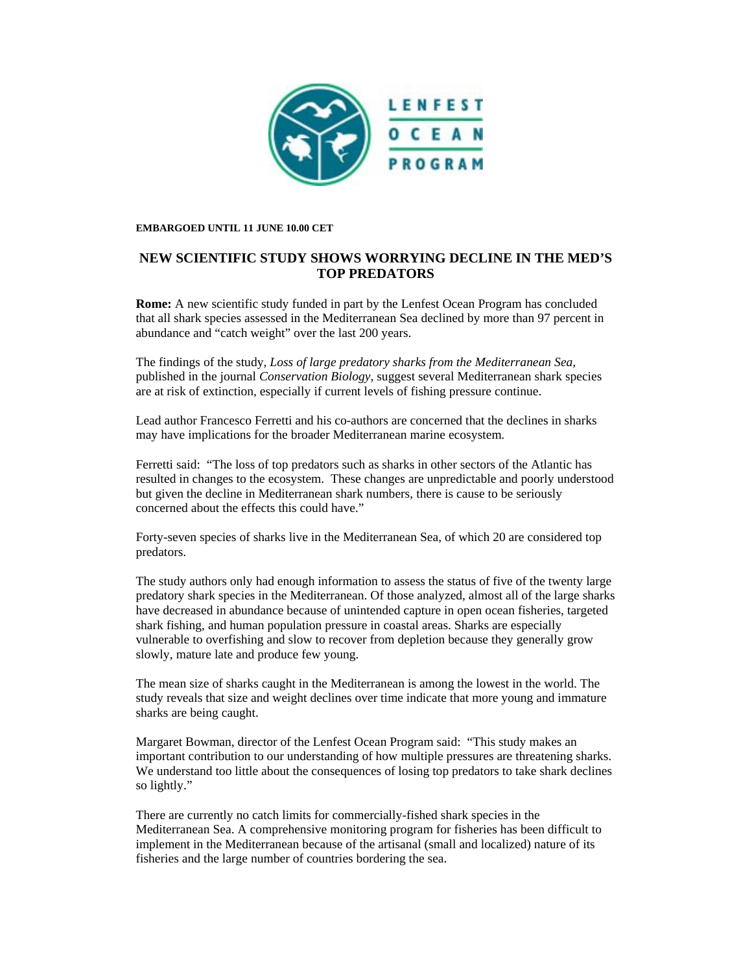

## **EMBARGOED UNTIL 11 JUNE 10.00 CET**

## **NEW SCIENTIFIC STUDY SHOWS WORRYING DECLINE IN THE MED'S TOP PREDATORS**

**Rome:** A new scientific study funded in part by the Lenfest Ocean Program has concluded that all shark species assessed in the Mediterranean Sea declined by more than 97 percent in abundance and "catch weight" over the last 200 years.

The findings of the study, *Loss of large predatory sharks from the Mediterranean Sea,*  published in the journal *Conservation Biology,* suggest several Mediterranean shark species are at risk of extinction, especially if current levels of fishing pressure continue.

Lead author Francesco Ferretti and his co-authors are concerned that the declines in sharks may have implications for the broader Mediterranean marine ecosystem.

Ferretti said: "The loss of top predators such as sharks in other sectors of the Atlantic has resulted in changes to the ecosystem. These changes are unpredictable and poorly understood but given the decline in Mediterranean shark numbers, there is cause to be seriously concerned about the effects this could have."

Forty-seven species of sharks live in the Mediterranean Sea, of which 20 are considered top predators.

The study authors only had enough information to assess the status of five of the twenty large predatory shark species in the Mediterranean. Of those analyzed, almost all of the large sharks have decreased in abundance because of unintended capture in open ocean fisheries, targeted shark fishing, and human population pressure in coastal areas. Sharks are especially vulnerable to overfishing and slow to recover from depletion because they generally grow slowly, mature late and produce few young.

The mean size of sharks caught in the Mediterranean is among the lowest in the world. The study reveals that size and weight declines over time indicate that more young and immature sharks are being caught.

Margaret Bowman, director of the Lenfest Ocean Program said: "This study makes an important contribution to our understanding of how multiple pressures are threatening sharks. We understand too little about the consequences of losing top predators to take shark declines so lightly."

There are currently no catch limits for commercially-fished shark species in the Mediterranean Sea. A comprehensive monitoring program for fisheries has been difficult to implement in the Mediterranean because of the artisanal (small and localized) nature of its fisheries and the large number of countries bordering the sea.